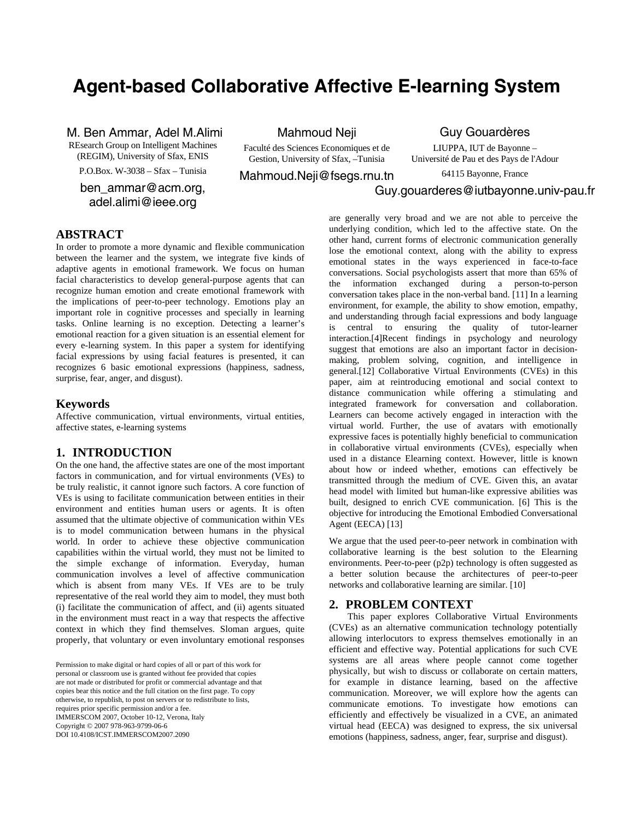# **Agent-based Collaborative Affective E-learning System**

### M. Ben Ammar, Adel M.Alimi

REsearch Group on Intelligent Machines (REGIM), University of Sfax, ENIS

P.O.Box. W-3038 – Sfax – Tunisia

ben\_ammar@acm.org, adel.alimi@ieee.org

Mahmoud Neji

Faculté des Sciences Economiques et de Gestion, University of Sfax, –Tunisia

Mahmoud.Neji@fsegs.rnu.tn

Guy Gouardères

LIUPPA, IUT de Bayonne – Université de Pau et des Pays de l'Adour

64115 Bayonne, France

## Guy.gouarderes@iutbayonne.univ-pau.fr

### **ABSTRACT**

In order to promote a more dynamic and flexible communication between the learner and the system, we integrate five kinds of adaptive agents in emotional framework. We focus on human facial characteristics to develop general-purpose agents that can recognize human emotion and create emotional framework with the implications of peer-to-peer technology. Emotions play an important role in cognitive processes and specially in learning tasks. Online learning is no exception. Detecting a learner's emotional reaction for a given situation is an essential element for every e-learning system. In this paper a system for identifying facial expressions by using facial features is presented, it can recognizes 6 basic emotional expressions (happiness, sadness, surprise, fear, anger, and disgust).

### **Keywords**

Affective communication, virtual environments, virtual entities, affective states, e-learning systems

### **1. INTRODUCTION**

On the one hand, the affective states are one of the most important factors in communication, and for virtual environments (VEs) to be truly realistic, it cannot ignore such factors. A core function of VEs is using to facilitate communication between entities in their environment and entities human users or agents. It is often assumed that the ultimate objective of communication within VEs is to model communication between humans in the physical world. In order to achieve these objective communication capabilities within the virtual world, they must not be limited to the simple exchange of information. Everyday, human communication involves a level of affective communication which is absent from many VEs. If VEs are to be truly representative of the real world they aim to model, they must both (i) facilitate the communication of affect, and (ii) agents situated in the environment must react in a way that respects the affective context in which they find themselves. Sloman argues, quite properly, that voluntary or even involuntary emotional responses

personal or classroom use is granted without fee provided that copies are not made or distributed for profit or commercial advantage and that copies bear this notice and the full citation on the first page. To copy otherwise, to republish, to post on servers or to redistribute to lists, requires prior specific permission and/or a fee.<br> $\overline{r}$ IMMERSCOM 2007, October 10-12, Verona, Italy Opyright © 2007-976-905-9799-00-0<br>∩OL10 4109 TCST IMMEDSCOM2007-2000 DOI 10.4108/ICST.IMMERSCOM2007.2090 Permission to make digital or hard copies of all or part of this work for Copyright © 2007 978-963-9799-06-6

are generally very broad and we are not able to perceive the underlying condition, which led to the affective state. On the other hand, current forms of electronic communication generally lose the emotional context, along with the ability to express emotional states in the ways experienced in face-to-face conversations. Social psychologists assert that more than 65% of the information exchanged during a person-to-person conversation takes place in the non-verbal band. [11] In a learning environment, for example, the ability to show emotion, empathy, and understanding through facial expressions and body language is central to ensuring the quality of tutor-learner interaction.[4]Recent findings in psychology and neurology suggest that emotions are also an important factor in decisionmaking, problem solving, cognition, and intelligence in general.[12] Collaborative Virtual Environments (CVEs) in this paper, aim at reintroducing emotional and social context to distance communication while offering a stimulating and integrated framework for conversation and collaboration. Learners can become actively engaged in interaction with the virtual world. Further, the use of avatars with emotionally expressive faces is potentially highly beneficial to communication in collaborative virtual environments (CVEs), especially when used in a distance Elearning context. However, little is known about how or indeed whether, emotions can effectively be transmitted through the medium of CVE. Given this, an avatar head model with limited but human-like expressive abilities was built, designed to enrich CVE communication. [6] This is the objective for introducing the Emotional Embodied Conversational Agent (EECA) [13]

We argue that the used peer-to-peer network in combination with collaborative learning is the best solution to the Elearning environments. Peer-to-peer (p2p) technology is often suggested as a better solution because the architectures of peer-to-peer networks and collaborative learning are similar. [10]

### **2. PROBLEM CONTEXT**

This paper explores Collaborative Virtual Environments (CVEs) as an alternative communication technology potentially allowing interlocutors to express themselves emotionally in an efficient and effective way. Potential applications for such CVE systems are all areas where people cannot come together physically, but wish to discuss or collaborate on certain matters, for example in distance learning, based on the affective communication. Moreover, we will explore how the agents can communicate emotions. To investigate how emotions can efficiently and effectively be visualized in a CVE, an animated virtual head (EECA) was designed to express, the six universal emotions (happiness, sadness, anger, fear, surprise and disgust).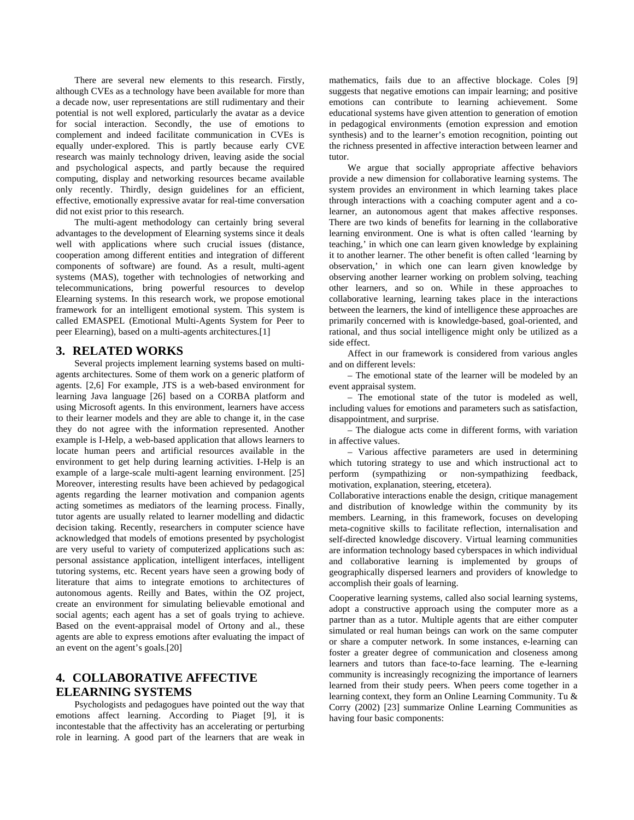There are several new elements to this research. Firstly, although CVEs as a technology have been available for more than a decade now, user representations are still rudimentary and their potential is not well explored, particularly the avatar as a device for social interaction. Secondly, the use of emotions to complement and indeed facilitate communication in CVEs is equally under-explored. This is partly because early CVE research was mainly technology driven, leaving aside the social and psychological aspects, and partly because the required computing, display and networking resources became available only recently. Thirdly, design guidelines for an efficient, effective, emotionally expressive avatar for real-time conversation did not exist prior to this research.

The multi-agent methodology can certainly bring several advantages to the development of Elearning systems since it deals well with applications where such crucial issues (distance, cooperation among different entities and integration of different components of software) are found. As a result, multi-agent systems (MAS), together with technologies of networking and telecommunications, bring powerful resources to develop Elearning systems. In this research work, we propose emotional framework for an intelligent emotional system. This system is called EMASPEL (Emotional Multi-Agents System for Peer to peer Elearning), based on a multi-agents architectures.[1]

### **3. RELATED WORKS**

Several projects implement learning systems based on multiagents architectures. Some of them work on a generic platform of agents. [2,6] For example, JTS is a web-based environment for learning Java language [26] based on a CORBA platform and using Microsoft agents. In this environment, learners have access to their learner models and they are able to change it, in the case they do not agree with the information represented. Another example is I-Help, a web-based application that allows learners to locate human peers and artificial resources available in the environment to get help during learning activities. I-Help is an example of a large-scale multi-agent learning environment. [25] Moreover, interesting results have been achieved by pedagogical agents regarding the learner motivation and companion agents acting sometimes as mediators of the learning process. Finally, tutor agents are usually related to learner modelling and didactic decision taking. Recently, researchers in computer science have acknowledged that models of emotions presented by psychologist are very useful to variety of computerized applications such as: personal assistance application, intelligent interfaces, intelligent tutoring systems, etc. Recent years have seen a growing body of literature that aims to integrate emotions to architectures of autonomous agents. Reilly and Bates, within the OZ project, create an environment for simulating believable emotional and social agents; each agent has a set of goals trying to achieve. Based on the event-appraisal model of Ortony and al., these agents are able to express emotions after evaluating the impact of an event on the agent's goals.[20]

# **4. COLLABORATIVE AFFECTIVE ELEARNING SYSTEMS**

Psychologists and pedagogues have pointed out the way that emotions affect learning. According to Piaget [9], it is incontestable that the affectivity has an accelerating or perturbing role in learning. A good part of the learners that are weak in mathematics, fails due to an affective blockage. Coles [9] suggests that negative emotions can impair learning; and positive emotions can contribute to learning achievement. Some educational systems have given attention to generation of emotion in pedagogical environments (emotion expression and emotion synthesis) and to the learner's emotion recognition, pointing out the richness presented in affective interaction between learner and tutor.

We argue that socially appropriate affective behaviors provide a new dimension for collaborative learning systems. The system provides an environment in which learning takes place through interactions with a coaching computer agent and a colearner, an autonomous agent that makes affective responses. There are two kinds of benefits for learning in the collaborative learning environment. One is what is often called 'learning by teaching,' in which one can learn given knowledge by explaining it to another learner. The other benefit is often called 'learning by observation,' in which one can learn given knowledge by observing another learner working on problem solving, teaching other learners, and so on. While in these approaches to collaborative learning, learning takes place in the interactions between the learners, the kind of intelligence these approaches are primarily concerned with is knowledge-based, goal-oriented, and rational, and thus social intelligence might only be utilized as a side effect.

Affect in our framework is considered from various angles and on different levels:

– The emotional state of the learner will be modeled by an event appraisal system.

– The emotional state of the tutor is modeled as well, including values for emotions and parameters such as satisfaction, disappointment, and surprise.

– The dialogue acts come in different forms, with variation in affective values.

– Various affective parameters are used in determining which tutoring strategy to use and which instructional act to perform (sympathizing or non-sympathizing feedback, motivation, explanation, steering, etcetera).

Collaborative interactions enable the design, critique management and distribution of knowledge within the community by its members. Learning, in this framework, focuses on developing meta-cognitive skills to facilitate reflection, internalisation and self-directed knowledge discovery. Virtual learning communities are information technology based cyberspaces in which individual and collaborative learning is implemented by groups of geographically dispersed learners and providers of knowledge to accomplish their goals of learning.

Cooperative learning systems, called also social learning systems, adopt a constructive approach using the computer more as a partner than as a tutor. Multiple agents that are either computer simulated or real human beings can work on the same computer or share a computer network. In some instances, e-learning can foster a greater degree of communication and closeness among learners and tutors than face-to-face learning. The e-learning community is increasingly recognizing the importance of learners learned from their study peers. When peers come together in a learning context, they form an Online Learning Community. Tu & Corry (2002) [23] summarize Online Learning Communities as having four basic components: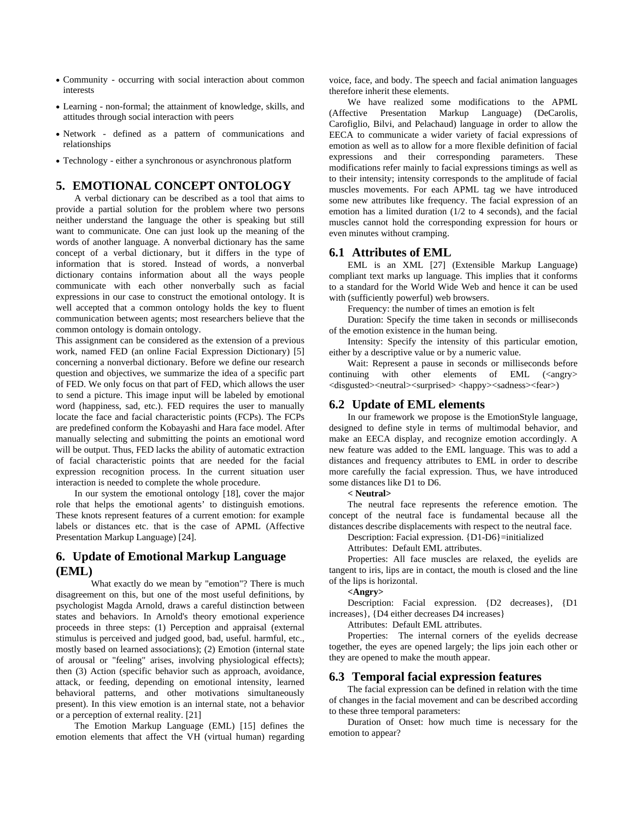- Community occurring with social interaction about common interests
- Learning non-formal; the attainment of knowledge, skills, and attitudes through social interaction with peers
- Network defined as a pattern of communications and relationships
- Technology either a synchronous or asynchronous platform

### **5. EMOTIONAL CONCEPT ONTOLOGY**

A verbal dictionary can be described as a tool that aims to provide a partial solution for the problem where two persons neither understand the language the other is speaking but still want to communicate. One can just look up the meaning of the words of another language. A nonverbal dictionary has the same concept of a verbal dictionary, but it differs in the type of information that is stored. Instead of words, a nonverbal dictionary contains information about all the ways people communicate with each other nonverbally such as facial expressions in our case to construct the emotional ontology. It is well accepted that a common ontology holds the key to fluent communication between agents; most researchers believe that the common ontology is domain ontology.

This assignment can be considered as the extension of a previous work, named FED (an online Facial Expression Dictionary) [5] concerning a nonverbal dictionary. Before we define our research question and objectives, we summarize the idea of a specific part of FED. We only focus on that part of FED, which allows the user to send a picture. This image input will be labeled by emotional word (happiness, sad, etc.). FED requires the user to manually locate the face and facial characteristic points (FCPs). The FCPs are predefined conform the Kobayashi and Hara face model. After manually selecting and submitting the points an emotional word will be output. Thus, FED lacks the ability of automatic extraction of facial characteristic points that are needed for the facial expression recognition process. In the current situation user interaction is needed to complete the whole procedure.

In our system the emotional ontology [18], cover the major role that helps the emotional agents' to distinguish emotions. These knots represent features of a current emotion: for example labels or distances etc. that is the case of APML (Affective Presentation Markup Language) [24].

### **6. Update of Emotional Markup Language (EML)**

 What exactly do we mean by "emotion"? There is much disagreement on this, but one of the most useful definitions, by psychologist Magda Arnold, draws a careful distinction between states and behaviors. In Arnold's theory emotional experience proceeds in three steps: (1) Perception and appraisal (external stimulus is perceived and judged good, bad, useful. harmful, etc., mostly based on learned associations); (2) Emotion (internal state of arousal or "feeling" arises, involving physiological effects); then (3) Action (specific behavior such as approach, avoidance, attack, or feeding, depending on emotional intensity, learned behavioral patterns, and other motivations simultaneously present). In this view emotion is an internal state, not a behavior or a perception of external reality. [21]

The Emotion Markup Language (EML) [15] defines the emotion elements that affect the VH (virtual human) regarding voice, face, and body. The speech and facial animation languages therefore inherit these elements.

We have realized some modifications to the APML (Affective Presentation Markup Language) (DeCarolis, Carofiglio, Bilvi, and Pelachaud) language in order to allow the EECA to communicate a wider variety of facial expressions of emotion as well as to allow for a more flexible definition of facial expressions and their corresponding parameters. These modifications refer mainly to facial expressions timings as well as to their intensity; intensity corresponds to the amplitude of facial muscles movements. For each APML tag we have introduced some new attributes like frequency. The facial expression of an emotion has a limited duration (1/2 to 4 seconds), and the facial muscles cannot hold the corresponding expression for hours or even minutes without cramping.

#### **6.1 Attributes of EML**

EML is an XML [27] (Extensible Markup Language) compliant text marks up language. This implies that it conforms to a standard for the World Wide Web and hence it can be used with (sufficiently powerful) web browsers.

Frequency: the number of times an emotion is felt

Duration: Specify the time taken in seconds or milliseconds of the emotion existence in the human being.

Intensity: Specify the intensity of this particular emotion, either by a descriptive value or by a numeric value.

Wait: Represent a pause in seconds or milliseconds before continuing with other elements of  $EML$  (<angry> <disgusted><neutral><surprised> <happy><sadness><fear>)

### **6.2 Update of EML elements**

In our framework we propose is the EmotionStyle language, designed to define style in terms of multimodal behavior, and make an EECA display, and recognize emotion accordingly. A new feature was added to the EML language. This was to add a distances and frequency attributes to EML in order to describe more carefully the facial expression. Thus, we have introduced some distances like D1 to D6.

#### **< Neutral>**

The neutral face represents the reference emotion. The concept of the neutral face is fundamental because all the distances describe displacements with respect to the neutral face.

Description: Facial expression. {D1-D6}=initialized

Attributes: Default EML attributes.

Properties: All face muscles are relaxed, the eyelids are tangent to iris, lips are in contact, the mouth is closed and the line of the lips is horizontal.

#### **<Angry>**

Description: Facial expression. {D2 decreases}, {D1 increases}, {D4 either decreases D4 increases}

Attributes: Default EML attributes.

Properties: The internal corners of the eyelids decrease together, the eyes are opened largely; the lips join each other or they are opened to make the mouth appear.

### **6.3 Temporal facial expression features**

The facial expression can be defined in relation with the time of changes in the facial movement and can be described according to these three temporal parameters:

Duration of Onset: how much time is necessary for the emotion to appear?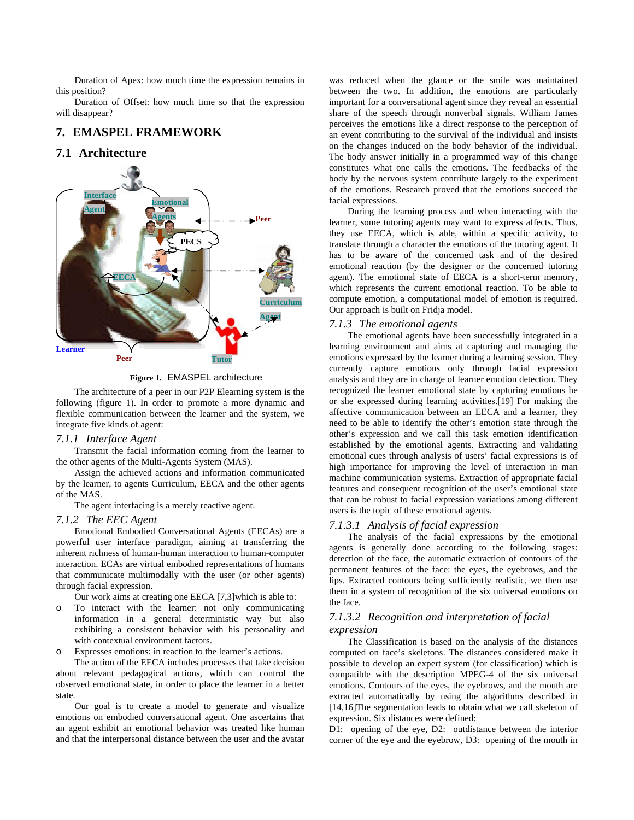Duration of Apex: how much time the expression remains in this position?

Duration of Offset: how much time so that the expression will disappear?

### **7. EMASPEL FRAMEWORK**

### **7.1 Architecture**



**Figure 1.** EMASPEL architecture

The architecture of a peer in our P2P Elearning system is the following (figure 1). In order to promote a more dynamic and flexible communication between the learner and the system, we integrate five kinds of agent:

#### *7.1.1 Interface Agent*

Transmit the facial information coming from the learner to the other agents of the Multi-Agents System (MAS).

Assign the achieved actions and information communicated by the learner, to agents Curriculum, EECA and the other agents of the MAS.

The agent interfacing is a merely reactive agent.

#### *7.1.2 The EEC Agent*

Emotional Embodied Conversational Agents (EECAs) are a powerful user interface paradigm, aiming at transferring the inherent richness of human-human interaction to human-computer interaction. ECAs are virtual embodied representations of humans that communicate multimodally with the user (or other agents) through facial expression.

Our work aims at creating one EECA [7,3]which is able to:

- o To interact with the learner: not only communicating information in a general deterministic way but also exhibiting a consistent behavior with his personality and with contextual environment factors.
- o Expresses emotions: in reaction to the learner's actions.

The action of the EECA includes processes that take decision about relevant pedagogical actions, which can control the observed emotional state, in order to place the learner in a better state.

Our goal is to create a model to generate and visualize emotions on embodied conversational agent. One ascertains that an agent exhibit an emotional behavior was treated like human and that the interpersonal distance between the user and the avatar was reduced when the glance or the smile was maintained between the two. In addition, the emotions are particularly important for a conversational agent since they reveal an essential share of the speech through nonverbal signals. William James perceives the emotions like a direct response to the perception of an event contributing to the survival of the individual and insists on the changes induced on the body behavior of the individual. The body answer initially in a programmed way of this change constitutes what one calls the emotions. The feedbacks of the body by the nervous system contribute largely to the experiment of the emotions. Research proved that the emotions succeed the facial expressions.

During the learning process and when interacting with the learner, some tutoring agents may want to express affects. Thus, they use EECA, which is able, within a specific activity, to translate through a character the emotions of the tutoring agent. It has to be aware of the concerned task and of the desired emotional reaction (by the designer or the concerned tutoring agent). The emotional state of EECA is a short-term memory, which represents the current emotional reaction. To be able to compute emotion, a computational model of emotion is required. Our approach is built on Fridja model.

### *7.1.3 The emotional agents*

The emotional agents have been successfully integrated in a learning environment and aims at capturing and managing the emotions expressed by the learner during a learning session. They currently capture emotions only through facial expression analysis and they are in charge of learner emotion detection. They recognized the learner emotional state by capturing emotions he or she expressed during learning activities.[19] For making the affective communication between an EECA and a learner, they need to be able to identify the other's emotion state through the other's expression and we call this task emotion identification established by the emotional agents. Extracting and validating emotional cues through analysis of users' facial expressions is of high importance for improving the level of interaction in man machine communication systems. Extraction of appropriate facial features and consequent recognition of the user's emotional state that can be robust to facial expression variations among different users is the topic of these emotional agents.

#### *7.1.3.1 Analysis of facial expression*

The analysis of the facial expressions by the emotional agents is generally done according to the following stages: detection of the face, the automatic extraction of contours of the permanent features of the face: the eyes, the eyebrows, and the lips. Extracted contours being sufficiently realistic, we then use them in a system of recognition of the six universal emotions on the face.

### *7.1.3.2 Recognition and interpretation of facial expression*

The Classification is based on the analysis of the distances computed on face's skeletons. The distances considered make it possible to develop an expert system (for classification) which is compatible with the description MPEG-4 of the six universal emotions. Contours of the eyes, the eyebrows, and the mouth are extracted automatically by using the algorithms described in [14,16]The segmentation leads to obtain what we call skeleton of expression. Six distances were defined:

D1: opening of the eye, D2: outdistance between the interior corner of the eye and the eyebrow, D3: opening of the mouth in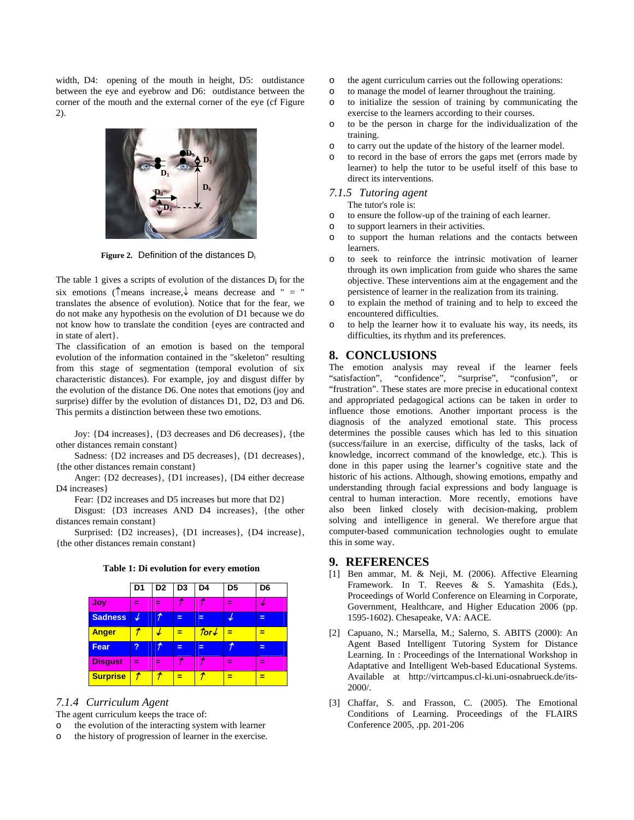width, D4: opening of the mouth in height, D5: outdistance between the eye and eyebrow and D6: outdistance between the corner of the mouth and the external corner of the eye (cf Figure 2).



**Figure 2.** Definition of the distances Di

The table 1 gives a scripts of evolution of the distances  $D_i$  for the six emotions ( $\uparrow$ means increase, $\downarrow$  means decrease and " = " translates the absence of evolution). Notice that for the fear, we do not make any hypothesis on the evolution of D1 because we do not know how to translate the condition {eyes are contracted and in state of alert}.

The classification of an emotion is based on the temporal evolution of the information contained in the "skeleton" resulting from this stage of segmentation (temporal evolution of six characteristic distances). For example, joy and disgust differ by the evolution of the distance D6. One notes that emotions (joy and surprise) differ by the evolution of distances D1, D2, D3 and D6. This permits a distinction between these two emotions.

Joy: {D4 increases}, {D3 decreases and D6 decreases}, {the other distances remain constant}

Sadness: {D2 increases and D5 decreases}, {D1 decreases}, {the other distances remain constant}

Anger: {D2 decreases}, {D1 increases}, {D4 either decrease D4 increases}

Fear: {D2 increases and D5 increases but more that D2}

Disgust: {D3 increases AND D4 increases}, {the other distances remain constant}

Surprised: {D2 increases}, {D1 increases}, {D4 increase}, {the other distances remain constant}

|  |  | Table 1: Di evolution for every emotion |  |  |  |
|--|--|-----------------------------------------|--|--|--|
|--|--|-----------------------------------------|--|--|--|

|                 | D <sub>1</sub> | D <sub>2</sub> | D <sub>3</sub> | D <sub>4</sub>         | D <sub>5</sub> | D <sub>6</sub> |
|-----------------|----------------|----------------|----------------|------------------------|----------------|----------------|
| Joy             | ═              | ═              |                |                        | =              |                |
| <b>Sadness</b>  |                |                | =              |                        |                | ᆯ              |
| <b>Anger</b>    |                |                |                | $\text{for}\downarrow$ | Ξ              | ≡              |
| <b>Fear</b>     | ?              |                | $=$            |                        | ≁              | ᆯ              |
| <b>Disgust</b>  | ≕              | ≕              | ÷              |                        | -              | Ξ              |
| <b>Surprise</b> |                |                | ≕              |                        |                |                |

### *7.1.4 Curriculum Agent*

The agent curriculum keeps the trace of:

- o the evolution of the interacting system with learner
- o the history of progression of learner in the exercise.
- o the agent curriculum carries out the following operations:
- o to manage the model of learner throughout the training.
- o to initialize the session of training by communicating the exercise to the learners according to their courses.
- o to be the person in charge for the individualization of the training.
- o to carry out the update of the history of the learner model.
- o to record in the base of errors the gaps met (errors made by learner) to help the tutor to be useful itself of this base to direct its interventions.

### *7.1.5 Tutoring agent*

The tutor's role is:

- o to ensure the follow-up of the training of each learner.
- o to support learners in their activities.
- o to support the human relations and the contacts between learners.
- o to seek to reinforce the intrinsic motivation of learner through its own implication from guide who shares the same objective. These interventions aim at the engagement and the persistence of learner in the realization from its training.
- to explain the method of training and to help to exceed the encountered difficulties.
- o to help the learner how it to evaluate his way, its needs, its difficulties, its rhythm and its preferences.

### **8. CONCLUSIONS**

The emotion analysis may reveal if the learner feels "satisfaction", "confidence", "surprise", "confusion", or "satisfaction", "confidence", "surprise", "confusion", or "frustration". These states are more precise in educational context and appropriated pedagogical actions can be taken in order to influence those emotions. Another important process is the diagnosis of the analyzed emotional state. This process determines the possible causes which has led to this situation (success/failure in an exercise, difficulty of the tasks, lack of knowledge, incorrect command of the knowledge, etc.). This is done in this paper using the learner's cognitive state and the historic of his actions. Although, showing emotions, empathy and understanding through facial expressions and body language is central to human interaction. More recently, emotions have also been linked closely with decision-making, problem solving and intelligence in general. We therefore argue that computer-based communication technologies ought to emulate this in some way.

#### **9. REFERENCES**

- [1] Ben ammar, M. & Neji, M. (2006). Affective Elearning Framework. In T. Reeves & S. Yamashita (Eds.), Proceedings of World Conference on Elearning in Corporate, Government, Healthcare, and Higher Education 2006 (pp. 1595-1602). Chesapeake, VA: AACE.
- [2] Capuano, N.; Marsella, M.; Salerno, S. ABITS (2000): An Agent Based Intelligent Tutoring System for Distance Learning. In : Proceedings of the International Workshop in Adaptative and Intelligent Web-based Educational Systems. Available at http://virtcampus.cl-ki.uni-osnabrueck.de/its-2000/.
- [3] Chaffar, S. and Frasson, C. (2005). The Emotional Conditions of Learning. Proceedings of the FLAIRS Conference 2005, .pp. 201-206